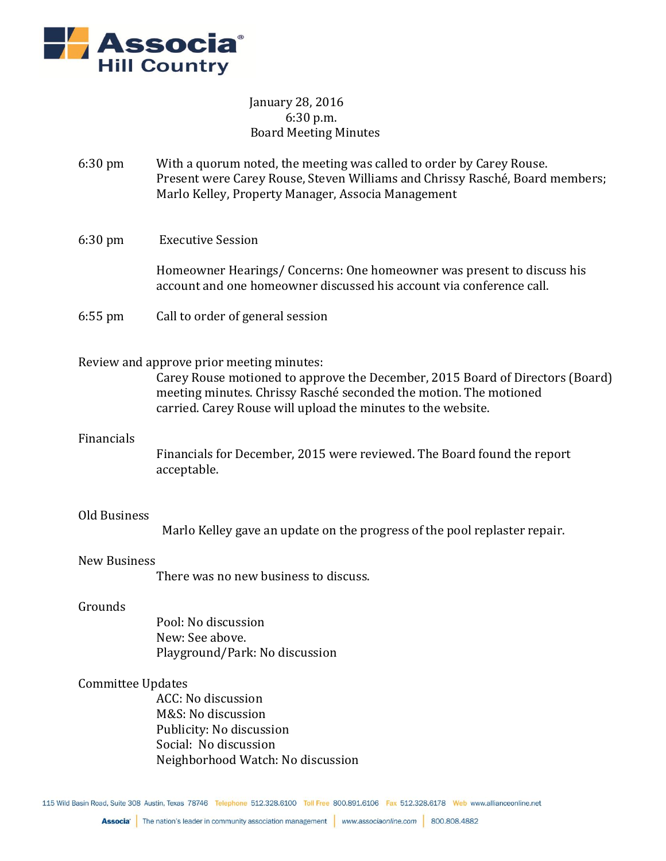

# January 28, 2016 6:30 p.m. Board Meeting Minutes

- 6:30 pm With a quorum noted, the meeting was called to order by Carey Rouse. Present were Carey Rouse, Steven Williams and Chrissy Rasché, Board members; Marlo Kelley, Property Manager, Associa Management
- 6:30 pm Executive Session

Homeowner Hearings/ Concerns: One homeowner was present to discuss his account and one homeowner discussed his account via conference call.

6:55 pm Call to order of general session

## Review and approve prior meeting minutes:

Carey Rouse motioned to approve the December, 2015 Board of Directors (Board) meeting minutes. Chrissy Rasché seconded the motion. The motioned carried. Carey Rouse will upload the minutes to the website.

## Financials

Financials for December, 2015 were reviewed. The Board found the report acceptable.

## Old Business

Marlo Kelley gave an update on the progress of the pool replaster repair.

### New Business

There was no new business to discuss.

#### Grounds

Pool: No discussion New: See above. Playground/Park: No discussion

### Committee Updates

ACC: No discussion M&S: No discussion Publicity: No discussion Social: No discussion Neighborhood Watch: No discussion